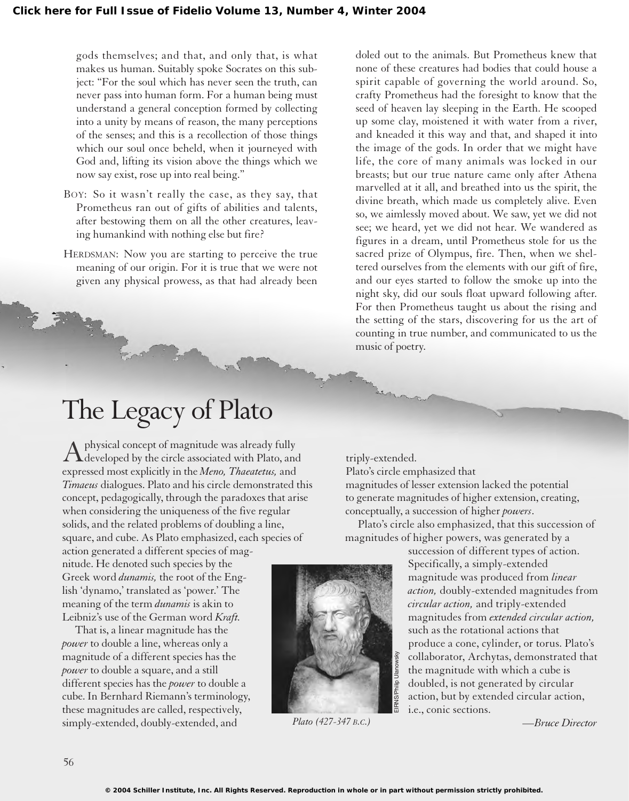gods themselves; and that, and only that, is what makes us human. Suitably spoke Socrates on this subject: "For the soul which has never seen the truth, can never pass into human form. For a human being must understand a general conception formed by collecting into a unity by means of reason, the many perceptions of the senses; and this is a recollection of those things which our soul once beheld, when it journeyed with God and, lifting its vision above the things which we now say exist, rose up into real being."

- BOY: So it wasn't really the case, as they say, that Prometheus ran out of gifts of abilities and talents, after bestowing them on all the other creatures, leaving humankind with nothing else but fire?
- HERDSMAN: Now you are starting to perceive the true meaning of our origin. For it is true that we were not given any physical prowess, as that had already been

## The Legacy of Plato

Aphysical concept of magnitude was already fully<br>developed by the circle associated with Plato, and expressed most explicitly in the *Meno, Thaeatetus,* and *Timaeus* dialogues. Plato and his circle demonstrated this concept, pedagogically, through the paradoxes that arise when considering the uniqueness of the five regular solids, and the related problems of doubling a line, square, and cube. As Plato emphasized, each species of

action generated a different species of magnitude. He denoted such species by the Greek word *dunamis,* the root of the English 'dynamo,' translated as 'power.' The meaning of the term *dunamis* is akin to Leibniz's use of the German word *Kraft.*

That is, a linear magnitude has the *power* to double a line, whereas only a magnitude of a different species has the *power* to double a square, and a still different species has the *power* to double a cube. In Bernhard Riemann's terminology, these magnitudes are called, respectively, simply-extended, doubly-extended, and

doled out to the animals. But Prometheus knew that none of these creatures had bodies that could house a spirit capable of governing the world around. So, crafty Prometheus had the foresight to know that the seed of heaven lay sleeping in the Earth. He scooped up some clay, moistened it with water from a river, and kneaded it this way and that, and shaped it into the image of the gods. In order that we might have life, the core of many animals was locked in our breasts; but our true nature came only after Athena marvelled at it all, and breathed into us the spirit, the divine breath, which made us completely alive. Even so, we aimlessly moved about. We saw, yet we did not see; we heard, yet we did not hear. We wandered as figures in a dream, until Prometheus stole for us the sacred prize of Olympus, fire. Then, when we sheltered ourselves from the elements with our gift of fire, and our eyes started to follow the smoke up into the night sky, did our souls float upward following after. For then Prometheus taught us about the rising and the setting of the stars, discovering for us the art of counting in true number, and communicated to us the music of poetry.

triply-extended.

Plato's circle emphasized that magnitudes of lesser extension lacked the potential to generate magnitudes of higher extension, creating, conceptually, a succession of higher *powers*.

Plato's circle also emphasized, that this succession of magnitudes of higher powers, was generated by a

> succession of different types of action. Specifically, a simply-extended magnitude was produced from *linear action,* doubly-extended magnitudes from *circular action,* and triply-extended magnitudes from *extended circular action,* such as the rotational actions that produce a cone, cylinder, or torus. Plato's collaborator, Archytas, demonstrated that the magnitude with which a cube is doubled, is not generated by circular action, but by extended circular action, i.e., conic sections.

> > *—Bruce Director*



*Plato (427-347 B.C.)*